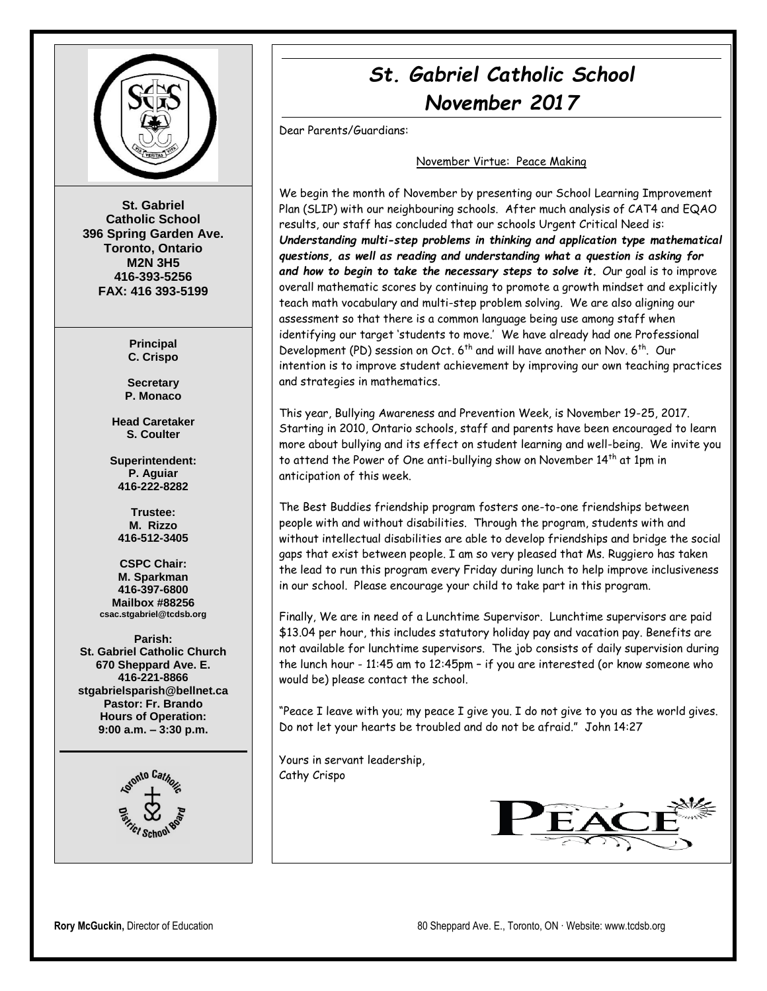

**St. Gabriel Catholic School 396 Spring Garden Ave. Toronto, Ontario M2N 3H5 416-393-5256 FAX: 416 393-5199**

> **Principal C. Crispo**

**Secretary P. Monaco**

**Head Caretaker S. Coulter**

**Superintendent: P. Aguiar 416-222-8282**

**Trustee: M. Rizzo 416-512-3405**

**CSPC Chair: M. Sparkman 416-397-6800 Mailbox #88256 csac.stgabriel@tcdsb.org**

**Parish: St. Gabriel Catholic Church 670 Sheppard Ave. E. 416-221-8866 stgabrielsparish@bellnet.ca Pastor: Fr. Brando Hours of Operation: 9:00 a.m. – 3:30 p.m.**



# *St. Gabriel Catholic School November 2017*

Dear Parents/Guardians:

#### November Virtue: Peace Making

We begin the month of November by presenting our School Learning Improvement Plan (SLIP) with our neighbouring schools. After much analysis of CAT4 and EQAO results, our staff has concluded that our schools Urgent Critical Need is: *Understanding multi-step problems in thinking and application type mathematical questions, as well as reading and understanding what a question is asking for and how to begin to take the necessary steps to solve it. O*ur goal is to improve overall mathematic scores by continuing to promote a growth mindset and explicitly teach math vocabulary and multi-step problem solving. We are also aligning our assessment so that there is a common language being use among staff when identifying our target 'students to move.' We have already had one Professional Development (PD) session on Oct. 6<sup>th</sup> and will have another on Nov. 6<sup>th</sup>. Our intention is to improve student achievement by improving our own teaching practices and strategies in mathematics.

This year, Bullying Awareness and Prevention Week, is November 19-25, 2017. Starting in 2010, Ontario schools, staff and parents have been encouraged to learn more about bullying and its effect on student learning and well-being. We invite you to attend the Power of One anti-bullying show on November 14<sup>th</sup> at 1pm in anticipation of this week.

The Best Buddies friendship program fosters one-to-one friendships between people with and without disabilities. Through the program, students with and without intellectual disabilities are able to develop friendships and bridge the social gaps that exist between people. I am so very pleased that Ms. Ruggiero has taken the lead to run this program every Friday during lunch to help improve inclusiveness in our school. Please encourage your child to take part in this program.

Finally, We are in need of a Lunchtime Supervisor. Lunchtime supervisors are paid \$13.04 per hour, this includes statutory holiday pay and vacation pay. Benefits are not available for lunchtime supervisors. The job consists of daily supervision during the lunch hour - 11:45 am to 12:45pm – if you are interested (or know someone who would be) please contact the school.

"Peace I leave with you; my peace I give you. I do not give to you as the world gives. Do not let your hearts be troubled and do not be afraid." John 14:27

Yours in servant leadership, Cathy Crispo

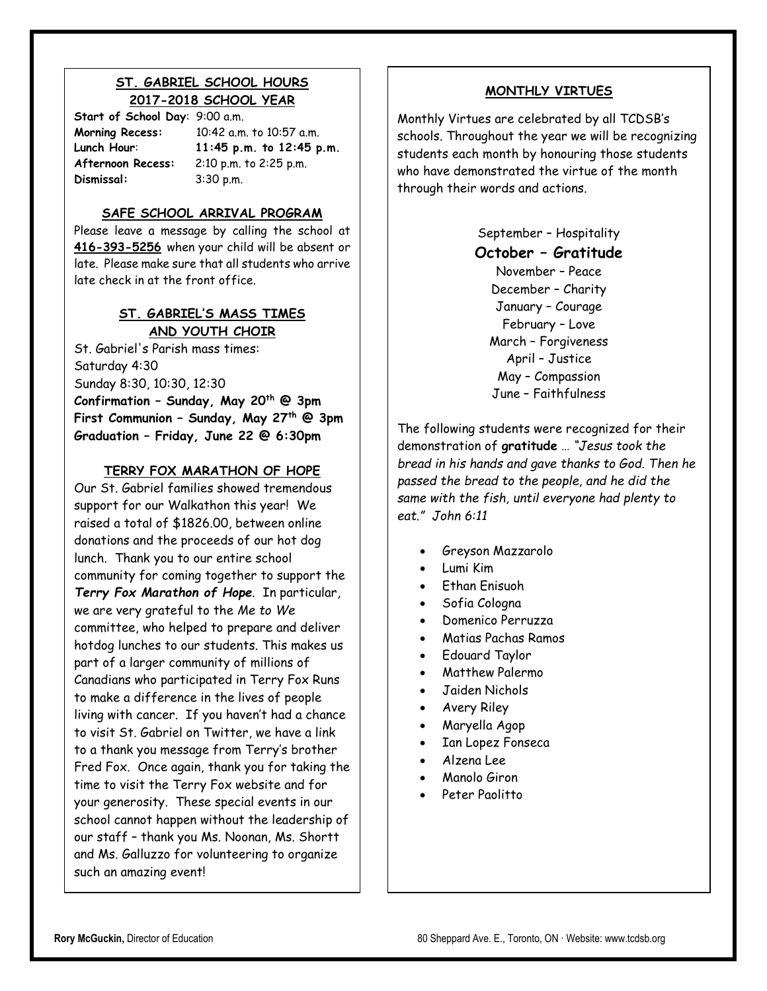# **ST. GABRIEL SCHOOL HOURS 2017-2018 SCHOOL YEAR**

**Start of School Day**: 9:00 a.m. **Dismissal:** 3:30 p.m.

**Morning Recess:** 10:42 a.m. to 10:57 a.m. **Lunch Hour**: **11:45 p.m. to 12:45 p.m. Afternoon Recess:** 2:10 p.m. to 2:25 p.m.

#### **SAFE SCHOOL ARRIVAL PROGRAM**

Please leave a message by calling the school at **416-393-5256** when your child will be absent or late. Please make sure that all students who arrive late check in at the front office.

# **ST. GABRIEL'S MASS TIMES AND YOUTH CHOIR**

St. Gabriel's Parish mass times: Saturday 4:30 Sunday 8:30, 10:30, 12:30 **Confirmation – Sunday, May 20th @ 3pm First Communion – Sunday, May 27th @ 3pm Graduation – Friday, June 22 @ 6:30pm**

# **TERRY FOX MARATHON OF HOPE**

Our St. Gabriel families showed tremendous support for our Walkathon this year! We raised a total of \$1826.00, between online donations and the proceeds of our hot dog lunch. Thank you to our entire school community for coming together to support the *Terry Fox Marathon of Hope*. In particular, we are very grateful to the *Me to We* committee, who helped to prepare and deliver hotdog lunches to our students. This makes us part of a larger community of millions of Canadians who participated in Terry Fox Runs to make a difference in the lives of people living with cancer. If you haven't had a chance to visit St. Gabriel on Twitter, we have a link to a thank you message from Terry's brother Fred Fox. Once again, thank you for taking the time to visit the Terry Fox website and for your generosity. These special events in our school cannot happen without the leadership of our staff – thank you Ms. Noonan, Ms. Shortt and Ms. Galluzzo for volunteering to organize such an amazing event!

# **MONTHLY VIRTUES**

Monthly Virtues are celebrated by all TCDSB's schools. Throughout the year we will be recognizing students each month by honouring those students who have demonstrated the virtue of the month through their words and actions.

> September – Hospitality **October – Gratitude** November – Peace December – Charity January – Courage February – Love March – Forgiveness April – Justice May – Compassion June – Faithfulness

The following students were recognized for their demonstration of **gratitude** … *"Jesus took the bread in his hands and gave thanks to God. Then he passed the bread to the people, and he did the same with the fish, until everyone had plenty to eat." John 6:11*

- Greyson Mazzarolo
- Lumi Kim
- Ethan Enisuoh
- Sofia Cologna
- Domenico Perruzza
- Matias Pachas Ramos
- Edouard Taylor
- Matthew Palermo
- Jaiden Nichols
- Avery Riley
- Maryella Agop
- Ian Lopez Fonseca
- Alzena Lee
- Manolo Giron
- Peter Paolitto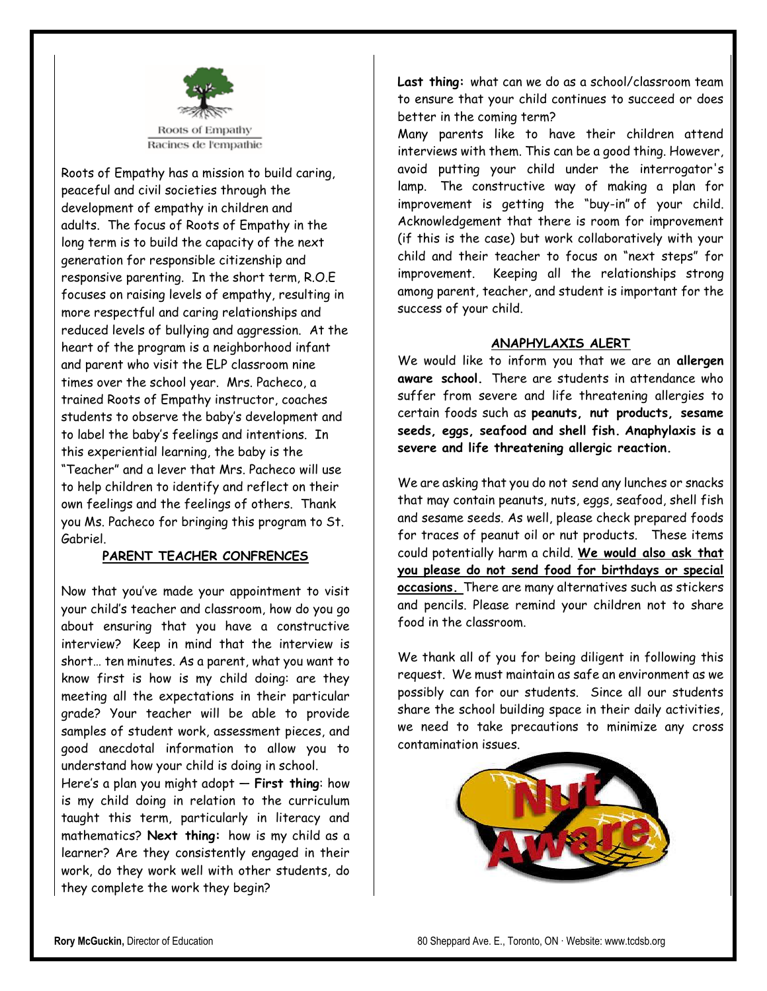

Roots of Empathy has a mission to build caring, peaceful and civil societies through the development of empathy in children and adults. The focus of Roots of Empathy in the long term is to build the capacity of the next generation for responsible citizenship and responsive parenting. In the short term, R.O.E focuses on raising levels of empathy, resulting in more respectful and caring relationships and reduced levels of bullying and aggression. At the heart of the program is a neighborhood infant and parent who visit the ELP classroom nine times over the school year. Mrs. Pacheco, a trained Roots of Empathy instructor, coaches students to observe the baby's development and to label the baby's feelings and intentions. In this experiential learning, the baby is the "Teacher" and a lever that Mrs. Pacheco will use to help children to identify and reflect on their own feelings and the feelings of others. Thank you Ms. Pacheco for bringing this program to St. Gabriel.

#### **PARENT TEACHER CONFRENCES**

Now that you've made your appointment to visit your child's teacher and classroom, how do you go about ensuring that you have a constructive interview? Keep in mind that the interview is short… ten minutes. As a parent, what you want to know first is how is my child doing: are they meeting all the expectations in their particular grade? Your teacher will be able to provide samples of student work, assessment pieces, and good anecdotal information to allow you to understand how your child is doing in school.

Here's a plan you might adopt — **First thing**: how is my child doing in relation to the curriculum taught this term, particularly in literacy and mathematics? **Next thing:** how is my child as a learner? Are they consistently engaged in their work, do they work well with other students, do they complete the work they begin?

**Last thing:** what can we do as a school/classroom team to ensure that your child continues to succeed or does better in the coming term? Many parents like to have their children attend interviews with them. This can be a good thing. However,

avoid putting your child under the interrogator's lamp. The constructive way of making a plan for improvement is getting the "buy-in" of your child. Acknowledgement that there is room for improvement (if this is the case) but work collaboratively with your child and their teacher to focus on "next steps" for improvement. Keeping all the relationships strong among parent, teacher, and student is important for the success of your child.

#### **ANAPHYLAXIS ALERT**

We would like to inform you that we are an **allergen aware school.** There are students in attendance who suffer from severe and life threatening allergies to certain foods such as **peanuts, nut products, sesame seeds, eggs, seafood and shell fish. Anaphylaxis is a severe and life threatening allergic reaction.** 

We are asking that you do not send any lunches or snacks that may contain peanuts, nuts, eggs, seafood, shell fish and sesame seeds. As well, please check prepared foods for traces of peanut oil or nut products. These items could potentially harm a child. **We would also ask that you please do not send food for birthdays or special occasions.** There are many alternatives such as stickers and pencils. Please remind your children not to share food in the classroom.

We thank all of you for being diligent in following this request. We must maintain as safe an environment as we possibly can for our students. Since all our students share the school building space in their daily activities, we need to take precautions to minimize any cross contamination issues.